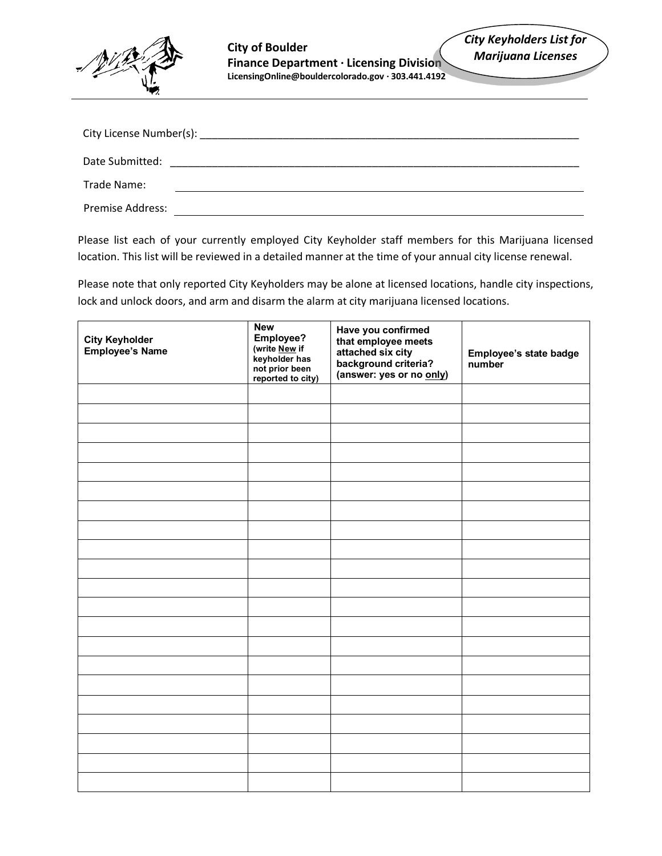

| City License Number(s): |  |  |
|-------------------------|--|--|
| Date Submitted:         |  |  |
| Trade Name:             |  |  |
| <b>Premise Address:</b> |  |  |

Please list each of your currently employed City Keyholder staff members for this Marijuana licensed location. This list will be reviewed in a detailed manner at the time of your annual city license renewal.

Please note that only reported City Keyholders may be alone at licensed locations, handle city inspections, lock and unlock doors, and arm and disarm the alarm at city marijuana licensed locations.

| <b>City Keyholder<br/>Employee's Name</b> | <b>New</b><br>Employee?<br>(write <u>New</u> if<br>keyholder has<br>not prior been<br>reported to city) | Have you confirmed<br>that employee meets<br>attached six city<br>background criteria?<br>(answer: yes or no only) | Employee's state badge<br>number |
|-------------------------------------------|---------------------------------------------------------------------------------------------------------|--------------------------------------------------------------------------------------------------------------------|----------------------------------|
|                                           |                                                                                                         |                                                                                                                    |                                  |
|                                           |                                                                                                         |                                                                                                                    |                                  |
|                                           |                                                                                                         |                                                                                                                    |                                  |
|                                           |                                                                                                         |                                                                                                                    |                                  |
|                                           |                                                                                                         |                                                                                                                    |                                  |
|                                           |                                                                                                         |                                                                                                                    |                                  |
|                                           |                                                                                                         |                                                                                                                    |                                  |
|                                           |                                                                                                         |                                                                                                                    |                                  |
|                                           |                                                                                                         |                                                                                                                    |                                  |
|                                           |                                                                                                         |                                                                                                                    |                                  |
|                                           |                                                                                                         |                                                                                                                    |                                  |
|                                           |                                                                                                         |                                                                                                                    |                                  |
|                                           |                                                                                                         |                                                                                                                    |                                  |
|                                           |                                                                                                         |                                                                                                                    |                                  |
|                                           |                                                                                                         |                                                                                                                    |                                  |
|                                           |                                                                                                         |                                                                                                                    |                                  |
|                                           |                                                                                                         |                                                                                                                    |                                  |
|                                           |                                                                                                         |                                                                                                                    |                                  |
|                                           |                                                                                                         |                                                                                                                    |                                  |
|                                           |                                                                                                         |                                                                                                                    |                                  |
|                                           |                                                                                                         |                                                                                                                    |                                  |